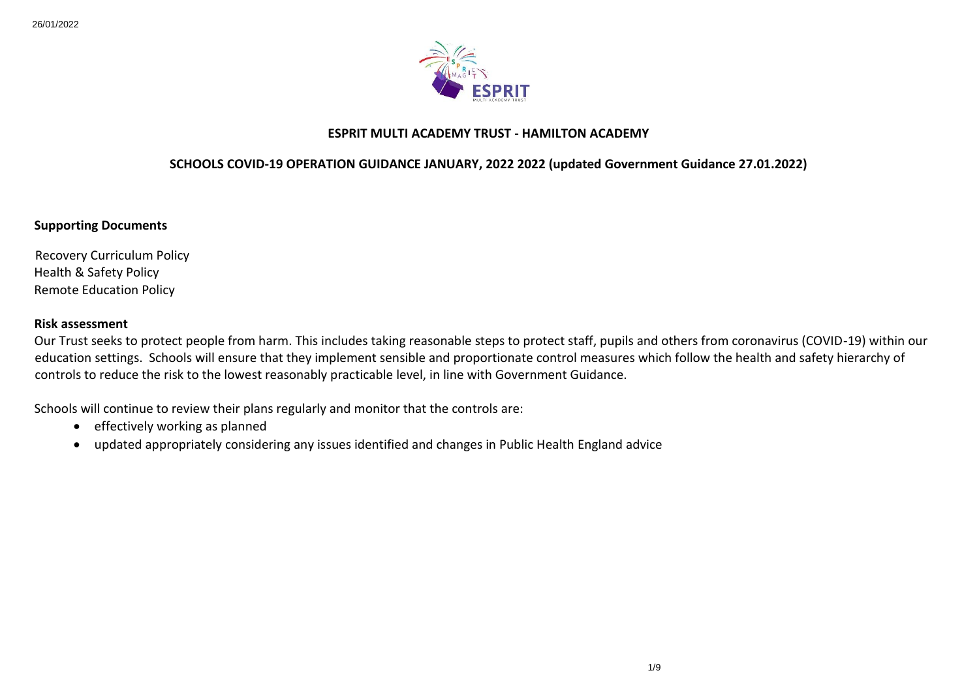

### **ESPRIT MULTI ACADEMY TRUST - HAMILTON ACADEMY**

### **SCHOOLS COVID-19 OPERATION GUIDANCE JANUARY, 2022 2022 (updated Government Guidance 27.01.2022)**

**Supporting Documents**

Recovery Curriculum Policy Health & Safety Policy Remote Education Policy

#### **Risk assessment**

Our Trust seeks to protect people from harm. This includes taking reasonable steps to protect staff, pupils and others from coronavirus (COVID-19) within our education settings. Schools will ensure that they implement sensible and proportionate control measures which follow the health and safety hierarchy of controls to reduce the risk to the lowest reasonably practicable level, in line with Government Guidance.

Schools will continue to review their plans regularly and monitor that the controls are:

- $\bullet$  effectively working as planned
- updated appropriately considering any issues identified and changes in Public Health England advice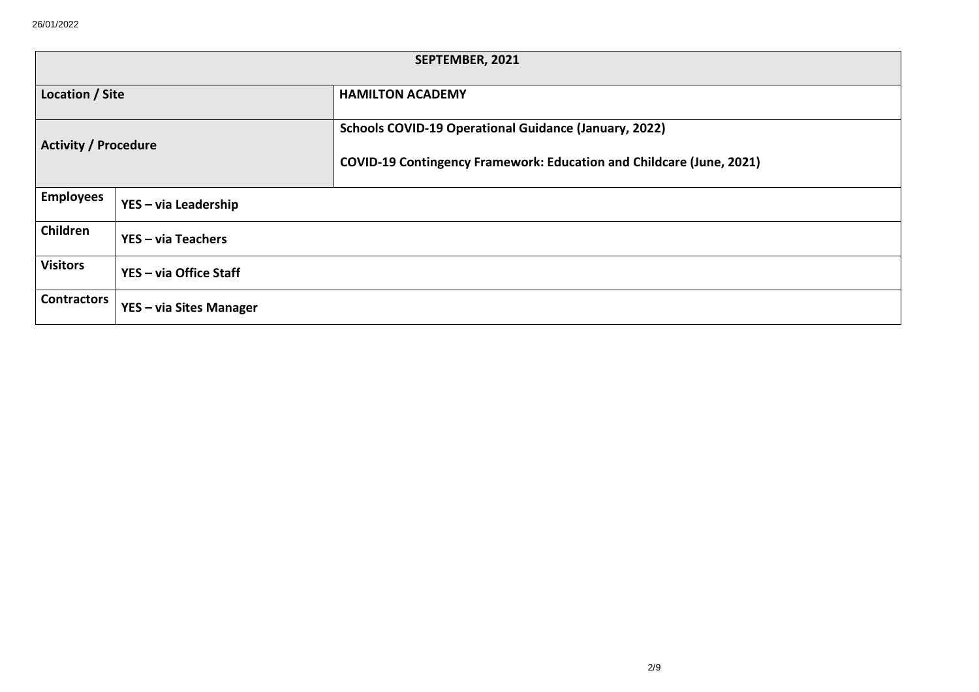|                             | SEPTEMBER, 2021         |                                                                                                                                             |  |  |  |
|-----------------------------|-------------------------|---------------------------------------------------------------------------------------------------------------------------------------------|--|--|--|
| <b>Location / Site</b>      |                         | <b>HAMILTON ACADEMY</b>                                                                                                                     |  |  |  |
| <b>Activity / Procedure</b> |                         | <b>Schools COVID-19 Operational Guidance (January, 2022)</b><br><b>COVID-19 Contingency Framework: Education and Childcare (June, 2021)</b> |  |  |  |
| <b>Employees</b>            | YES - via Leadership    |                                                                                                                                             |  |  |  |
| Children                    | YES - via Teachers      |                                                                                                                                             |  |  |  |
| <b>Visitors</b>             | YES - via Office Staff  |                                                                                                                                             |  |  |  |
| <b>Contractors</b>          | YES - via Sites Manager |                                                                                                                                             |  |  |  |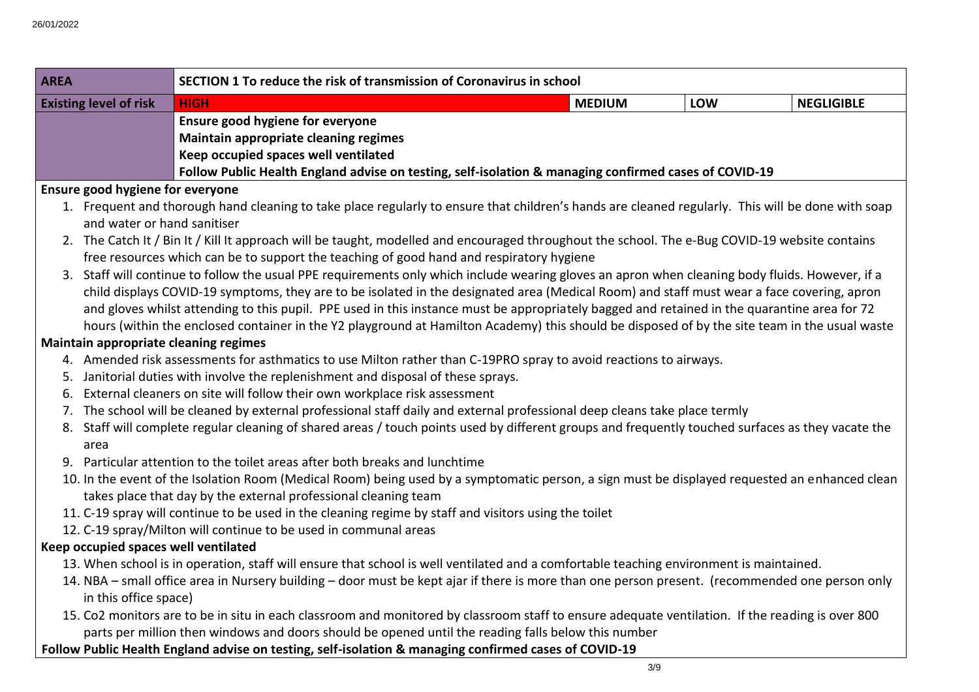| SECTION 1 To reduce the risk of transmission of Coronavirus in school<br><b>AREA</b> |                                       |                                                                                                                                                                                                                                                                                                                                                                                                                                                                                                                                                                   |                                                                                                                                                                                                                                                                                                                                                                                                                    |                                                                                                                                                                                                                                                                                                                                                                                                                                                                                                                                                                                                                                                                                                                                                                                                                                                                                                                                                                                                                                                                                                                                                                                                                                                                                                                                                                                                                                                                                                                                                                                                                                                                                                                                                                                                                                                                                                                                                                                                                             |
|--------------------------------------------------------------------------------------|---------------------------------------|-------------------------------------------------------------------------------------------------------------------------------------------------------------------------------------------------------------------------------------------------------------------------------------------------------------------------------------------------------------------------------------------------------------------------------------------------------------------------------------------------------------------------------------------------------------------|--------------------------------------------------------------------------------------------------------------------------------------------------------------------------------------------------------------------------------------------------------------------------------------------------------------------------------------------------------------------------------------------------------------------|-----------------------------------------------------------------------------------------------------------------------------------------------------------------------------------------------------------------------------------------------------------------------------------------------------------------------------------------------------------------------------------------------------------------------------------------------------------------------------------------------------------------------------------------------------------------------------------------------------------------------------------------------------------------------------------------------------------------------------------------------------------------------------------------------------------------------------------------------------------------------------------------------------------------------------------------------------------------------------------------------------------------------------------------------------------------------------------------------------------------------------------------------------------------------------------------------------------------------------------------------------------------------------------------------------------------------------------------------------------------------------------------------------------------------------------------------------------------------------------------------------------------------------------------------------------------------------------------------------------------------------------------------------------------------------------------------------------------------------------------------------------------------------------------------------------------------------------------------------------------------------------------------------------------------------------------------------------------------------------------------------------------------------|
|                                                                                      | <b>HIGH</b>                           | <b>MEDIUM</b>                                                                                                                                                                                                                                                                                                                                                                                                                                                                                                                                                     | <b>LOW</b>                                                                                                                                                                                                                                                                                                                                                                                                         | <b>NEGLIGIBLE</b>                                                                                                                                                                                                                                                                                                                                                                                                                                                                                                                                                                                                                                                                                                                                                                                                                                                                                                                                                                                                                                                                                                                                                                                                                                                                                                                                                                                                                                                                                                                                                                                                                                                                                                                                                                                                                                                                                                                                                                                                           |
|                                                                                      | Ensure good hygiene for everyone      |                                                                                                                                                                                                                                                                                                                                                                                                                                                                                                                                                                   |                                                                                                                                                                                                                                                                                                                                                                                                                    |                                                                                                                                                                                                                                                                                                                                                                                                                                                                                                                                                                                                                                                                                                                                                                                                                                                                                                                                                                                                                                                                                                                                                                                                                                                                                                                                                                                                                                                                                                                                                                                                                                                                                                                                                                                                                                                                                                                                                                                                                             |
|                                                                                      | Maintain appropriate cleaning regimes |                                                                                                                                                                                                                                                                                                                                                                                                                                                                                                                                                                   |                                                                                                                                                                                                                                                                                                                                                                                                                    |                                                                                                                                                                                                                                                                                                                                                                                                                                                                                                                                                                                                                                                                                                                                                                                                                                                                                                                                                                                                                                                                                                                                                                                                                                                                                                                                                                                                                                                                                                                                                                                                                                                                                                                                                                                                                                                                                                                                                                                                                             |
|                                                                                      | Keep occupied spaces well ventilated  |                                                                                                                                                                                                                                                                                                                                                                                                                                                                                                                                                                   |                                                                                                                                                                                                                                                                                                                                                                                                                    |                                                                                                                                                                                                                                                                                                                                                                                                                                                                                                                                                                                                                                                                                                                                                                                                                                                                                                                                                                                                                                                                                                                                                                                                                                                                                                                                                                                                                                                                                                                                                                                                                                                                                                                                                                                                                                                                                                                                                                                                                             |
|                                                                                      |                                       |                                                                                                                                                                                                                                                                                                                                                                                                                                                                                                                                                                   |                                                                                                                                                                                                                                                                                                                                                                                                                    |                                                                                                                                                                                                                                                                                                                                                                                                                                                                                                                                                                                                                                                                                                                                                                                                                                                                                                                                                                                                                                                                                                                                                                                                                                                                                                                                                                                                                                                                                                                                                                                                                                                                                                                                                                                                                                                                                                                                                                                                                             |
|                                                                                      |                                       |                                                                                                                                                                                                                                                                                                                                                                                                                                                                                                                                                                   |                                                                                                                                                                                                                                                                                                                                                                                                                    |                                                                                                                                                                                                                                                                                                                                                                                                                                                                                                                                                                                                                                                                                                                                                                                                                                                                                                                                                                                                                                                                                                                                                                                                                                                                                                                                                                                                                                                                                                                                                                                                                                                                                                                                                                                                                                                                                                                                                                                                                             |
|                                                                                      |                                       |                                                                                                                                                                                                                                                                                                                                                                                                                                                                                                                                                                   |                                                                                                                                                                                                                                                                                                                                                                                                                    |                                                                                                                                                                                                                                                                                                                                                                                                                                                                                                                                                                                                                                                                                                                                                                                                                                                                                                                                                                                                                                                                                                                                                                                                                                                                                                                                                                                                                                                                                                                                                                                                                                                                                                                                                                                                                                                                                                                                                                                                                             |
|                                                                                      |                                       |                                                                                                                                                                                                                                                                                                                                                                                                                                                                                                                                                                   |                                                                                                                                                                                                                                                                                                                                                                                                                    |                                                                                                                                                                                                                                                                                                                                                                                                                                                                                                                                                                                                                                                                                                                                                                                                                                                                                                                                                                                                                                                                                                                                                                                                                                                                                                                                                                                                                                                                                                                                                                                                                                                                                                                                                                                                                                                                                                                                                                                                                             |
|                                                                                      |                                       |                                                                                                                                                                                                                                                                                                                                                                                                                                                                                                                                                                   |                                                                                                                                                                                                                                                                                                                                                                                                                    |                                                                                                                                                                                                                                                                                                                                                                                                                                                                                                                                                                                                                                                                                                                                                                                                                                                                                                                                                                                                                                                                                                                                                                                                                                                                                                                                                                                                                                                                                                                                                                                                                                                                                                                                                                                                                                                                                                                                                                                                                             |
|                                                                                      |                                       |                                                                                                                                                                                                                                                                                                                                                                                                                                                                                                                                                                   |                                                                                                                                                                                                                                                                                                                                                                                                                    |                                                                                                                                                                                                                                                                                                                                                                                                                                                                                                                                                                                                                                                                                                                                                                                                                                                                                                                                                                                                                                                                                                                                                                                                                                                                                                                                                                                                                                                                                                                                                                                                                                                                                                                                                                                                                                                                                                                                                                                                                             |
|                                                                                      |                                       |                                                                                                                                                                                                                                                                                                                                                                                                                                                                                                                                                                   |                                                                                                                                                                                                                                                                                                                                                                                                                    |                                                                                                                                                                                                                                                                                                                                                                                                                                                                                                                                                                                                                                                                                                                                                                                                                                                                                                                                                                                                                                                                                                                                                                                                                                                                                                                                                                                                                                                                                                                                                                                                                                                                                                                                                                                                                                                                                                                                                                                                                             |
|                                                                                      |                                       |                                                                                                                                                                                                                                                                                                                                                                                                                                                                                                                                                                   |                                                                                                                                                                                                                                                                                                                                                                                                                    |                                                                                                                                                                                                                                                                                                                                                                                                                                                                                                                                                                                                                                                                                                                                                                                                                                                                                                                                                                                                                                                                                                                                                                                                                                                                                                                                                                                                                                                                                                                                                                                                                                                                                                                                                                                                                                                                                                                                                                                                                             |
|                                                                                      |                                       |                                                                                                                                                                                                                                                                                                                                                                                                                                                                                                                                                                   |                                                                                                                                                                                                                                                                                                                                                                                                                    |                                                                                                                                                                                                                                                                                                                                                                                                                                                                                                                                                                                                                                                                                                                                                                                                                                                                                                                                                                                                                                                                                                                                                                                                                                                                                                                                                                                                                                                                                                                                                                                                                                                                                                                                                                                                                                                                                                                                                                                                                             |
|                                                                                      |                                       |                                                                                                                                                                                                                                                                                                                                                                                                                                                                                                                                                                   |                                                                                                                                                                                                                                                                                                                                                                                                                    |                                                                                                                                                                                                                                                                                                                                                                                                                                                                                                                                                                                                                                                                                                                                                                                                                                                                                                                                                                                                                                                                                                                                                                                                                                                                                                                                                                                                                                                                                                                                                                                                                                                                                                                                                                                                                                                                                                                                                                                                                             |
|                                                                                      |                                       |                                                                                                                                                                                                                                                                                                                                                                                                                                                                                                                                                                   |                                                                                                                                                                                                                                                                                                                                                                                                                    |                                                                                                                                                                                                                                                                                                                                                                                                                                                                                                                                                                                                                                                                                                                                                                                                                                                                                                                                                                                                                                                                                                                                                                                                                                                                                                                                                                                                                                                                                                                                                                                                                                                                                                                                                                                                                                                                                                                                                                                                                             |
|                                                                                      |                                       |                                                                                                                                                                                                                                                                                                                                                                                                                                                                                                                                                                   |                                                                                                                                                                                                                                                                                                                                                                                                                    |                                                                                                                                                                                                                                                                                                                                                                                                                                                                                                                                                                                                                                                                                                                                                                                                                                                                                                                                                                                                                                                                                                                                                                                                                                                                                                                                                                                                                                                                                                                                                                                                                                                                                                                                                                                                                                                                                                                                                                                                                             |
|                                                                                      |                                       |                                                                                                                                                                                                                                                                                                                                                                                                                                                                                                                                                                   |                                                                                                                                                                                                                                                                                                                                                                                                                    |                                                                                                                                                                                                                                                                                                                                                                                                                                                                                                                                                                                                                                                                                                                                                                                                                                                                                                                                                                                                                                                                                                                                                                                                                                                                                                                                                                                                                                                                                                                                                                                                                                                                                                                                                                                                                                                                                                                                                                                                                             |
|                                                                                      |                                       |                                                                                                                                                                                                                                                                                                                                                                                                                                                                                                                                                                   |                                                                                                                                                                                                                                                                                                                                                                                                                    |                                                                                                                                                                                                                                                                                                                                                                                                                                                                                                                                                                                                                                                                                                                                                                                                                                                                                                                                                                                                                                                                                                                                                                                                                                                                                                                                                                                                                                                                                                                                                                                                                                                                                                                                                                                                                                                                                                                                                                                                                             |
|                                                                                      |                                       |                                                                                                                                                                                                                                                                                                                                                                                                                                                                                                                                                                   |                                                                                                                                                                                                                                                                                                                                                                                                                    |                                                                                                                                                                                                                                                                                                                                                                                                                                                                                                                                                                                                                                                                                                                                                                                                                                                                                                                                                                                                                                                                                                                                                                                                                                                                                                                                                                                                                                                                                                                                                                                                                                                                                                                                                                                                                                                                                                                                                                                                                             |
|                                                                                      |                                       |                                                                                                                                                                                                                                                                                                                                                                                                                                                                                                                                                                   |                                                                                                                                                                                                                                                                                                                                                                                                                    |                                                                                                                                                                                                                                                                                                                                                                                                                                                                                                                                                                                                                                                                                                                                                                                                                                                                                                                                                                                                                                                                                                                                                                                                                                                                                                                                                                                                                                                                                                                                                                                                                                                                                                                                                                                                                                                                                                                                                                                                                             |
| area                                                                                 |                                       |                                                                                                                                                                                                                                                                                                                                                                                                                                                                                                                                                                   |                                                                                                                                                                                                                                                                                                                                                                                                                    |                                                                                                                                                                                                                                                                                                                                                                                                                                                                                                                                                                                                                                                                                                                                                                                                                                                                                                                                                                                                                                                                                                                                                                                                                                                                                                                                                                                                                                                                                                                                                                                                                                                                                                                                                                                                                                                                                                                                                                                                                             |
|                                                                                      |                                       |                                                                                                                                                                                                                                                                                                                                                                                                                                                                                                                                                                   |                                                                                                                                                                                                                                                                                                                                                                                                                    |                                                                                                                                                                                                                                                                                                                                                                                                                                                                                                                                                                                                                                                                                                                                                                                                                                                                                                                                                                                                                                                                                                                                                                                                                                                                                                                                                                                                                                                                                                                                                                                                                                                                                                                                                                                                                                                                                                                                                                                                                             |
|                                                                                      |                                       |                                                                                                                                                                                                                                                                                                                                                                                                                                                                                                                                                                   |                                                                                                                                                                                                                                                                                                                                                                                                                    |                                                                                                                                                                                                                                                                                                                                                                                                                                                                                                                                                                                                                                                                                                                                                                                                                                                                                                                                                                                                                                                                                                                                                                                                                                                                                                                                                                                                                                                                                                                                                                                                                                                                                                                                                                                                                                                                                                                                                                                                                             |
|                                                                                      |                                       |                                                                                                                                                                                                                                                                                                                                                                                                                                                                                                                                                                   |                                                                                                                                                                                                                                                                                                                                                                                                                    |                                                                                                                                                                                                                                                                                                                                                                                                                                                                                                                                                                                                                                                                                                                                                                                                                                                                                                                                                                                                                                                                                                                                                                                                                                                                                                                                                                                                                                                                                                                                                                                                                                                                                                                                                                                                                                                                                                                                                                                                                             |
|                                                                                      |                                       |                                                                                                                                                                                                                                                                                                                                                                                                                                                                                                                                                                   |                                                                                                                                                                                                                                                                                                                                                                                                                    |                                                                                                                                                                                                                                                                                                                                                                                                                                                                                                                                                                                                                                                                                                                                                                                                                                                                                                                                                                                                                                                                                                                                                                                                                                                                                                                                                                                                                                                                                                                                                                                                                                                                                                                                                                                                                                                                                                                                                                                                                             |
|                                                                                      |                                       |                                                                                                                                                                                                                                                                                                                                                                                                                                                                                                                                                                   |                                                                                                                                                                                                                                                                                                                                                                                                                    |                                                                                                                                                                                                                                                                                                                                                                                                                                                                                                                                                                                                                                                                                                                                                                                                                                                                                                                                                                                                                                                                                                                                                                                                                                                                                                                                                                                                                                                                                                                                                                                                                                                                                                                                                                                                                                                                                                                                                                                                                             |
|                                                                                      |                                       |                                                                                                                                                                                                                                                                                                                                                                                                                                                                                                                                                                   |                                                                                                                                                                                                                                                                                                                                                                                                                    |                                                                                                                                                                                                                                                                                                                                                                                                                                                                                                                                                                                                                                                                                                                                                                                                                                                                                                                                                                                                                                                                                                                                                                                                                                                                                                                                                                                                                                                                                                                                                                                                                                                                                                                                                                                                                                                                                                                                                                                                                             |
|                                                                                      |                                       |                                                                                                                                                                                                                                                                                                                                                                                                                                                                                                                                                                   |                                                                                                                                                                                                                                                                                                                                                                                                                    |                                                                                                                                                                                                                                                                                                                                                                                                                                                                                                                                                                                                                                                                                                                                                                                                                                                                                                                                                                                                                                                                                                                                                                                                                                                                                                                                                                                                                                                                                                                                                                                                                                                                                                                                                                                                                                                                                                                                                                                                                             |
|                                                                                      |                                       |                                                                                                                                                                                                                                                                                                                                                                                                                                                                                                                                                                   |                                                                                                                                                                                                                                                                                                                                                                                                                    |                                                                                                                                                                                                                                                                                                                                                                                                                                                                                                                                                                                                                                                                                                                                                                                                                                                                                                                                                                                                                                                                                                                                                                                                                                                                                                                                                                                                                                                                                                                                                                                                                                                                                                                                                                                                                                                                                                                                                                                                                             |
|                                                                                      |                                       |                                                                                                                                                                                                                                                                                                                                                                                                                                                                                                                                                                   |                                                                                                                                                                                                                                                                                                                                                                                                                    |                                                                                                                                                                                                                                                                                                                                                                                                                                                                                                                                                                                                                                                                                                                                                                                                                                                                                                                                                                                                                                                                                                                                                                                                                                                                                                                                                                                                                                                                                                                                                                                                                                                                                                                                                                                                                                                                                                                                                                                                                             |
|                                                                                      |                                       |                                                                                                                                                                                                                                                                                                                                                                                                                                                                                                                                                                   |                                                                                                                                                                                                                                                                                                                                                                                                                    |                                                                                                                                                                                                                                                                                                                                                                                                                                                                                                                                                                                                                                                                                                                                                                                                                                                                                                                                                                                                                                                                                                                                                                                                                                                                                                                                                                                                                                                                                                                                                                                                                                                                                                                                                                                                                                                                                                                                                                                                                             |
|                                                                                      | <b>Existing level of risk</b><br>6.   | Ensure good hygiene for everyone<br>and water or hand sanitiser<br>Maintain appropriate cleaning regimes<br>5. Janitorial duties with involve the replenishment and disposal of these sprays.<br>External cleaners on site will follow their own workplace risk assessment<br>9. Particular attention to the toilet areas after both breaks and lunchtime<br>takes place that day by the external professional cleaning team<br>12. C-19 spray/Milton will continue to be used in communal areas<br>Keep occupied spaces well ventilated<br>in this office space) | free resources which can be to support the teaching of good hand and respiratory hygiene<br>11. C-19 spray will continue to be used in the cleaning regime by staff and visitors using the toilet<br>parts per million then windows and doors should be opened until the reading falls below this number<br>Fellew Buklie Health Fuelend edules on testing self-isolation 0, monoging confirmed cases of COVID-10. | Follow Public Health England advise on testing, self-isolation & managing confirmed cases of COVID-19<br>1. Frequent and thorough hand cleaning to take place regularly to ensure that children's hands are cleaned regularly. This will be done with soap<br>2. The Catch It / Bin It / Kill It approach will be taught, modelled and encouraged throughout the school. The e-Bug COVID-19 website contains<br>3. Staff will continue to follow the usual PPE requirements only which include wearing gloves an apron when cleaning body fluids. However, if a<br>child displays COVID-19 symptoms, they are to be isolated in the designated area (Medical Room) and staff must wear a face covering, apron<br>and gloves whilst attending to this pupil. PPE used in this instance must be appropriately bagged and retained in the quarantine area for 72<br>hours (within the enclosed container in the Y2 playground at Hamilton Academy) this should be disposed of by the site team in the usual waste<br>4. Amended risk assessments for asthmatics to use Milton rather than C-19PRO spray to avoid reactions to airways.<br>7. The school will be cleaned by external professional staff daily and external professional deep cleans take place termly<br>8. Staff will complete regular cleaning of shared areas / touch points used by different groups and frequently touched surfaces as they vacate the<br>10. In the event of the Isolation Room (Medical Room) being used by a symptomatic person, a sign must be displayed requested an enhanced clean<br>13. When school is in operation, staff will ensure that school is well ventilated and a comfortable teaching environment is maintained.<br>14. NBA – small office area in Nursery building – door must be kept ajar if there is more than one person present. (recommended one person only<br>15. Co2 monitors are to be in situ in each classroom and monitored by classroom staff to ensure adequate ventilation. If the reading is over 800 |

## **Follow Public Health England advise on testing, self-isolation & managing confirmed cases of COVID-19**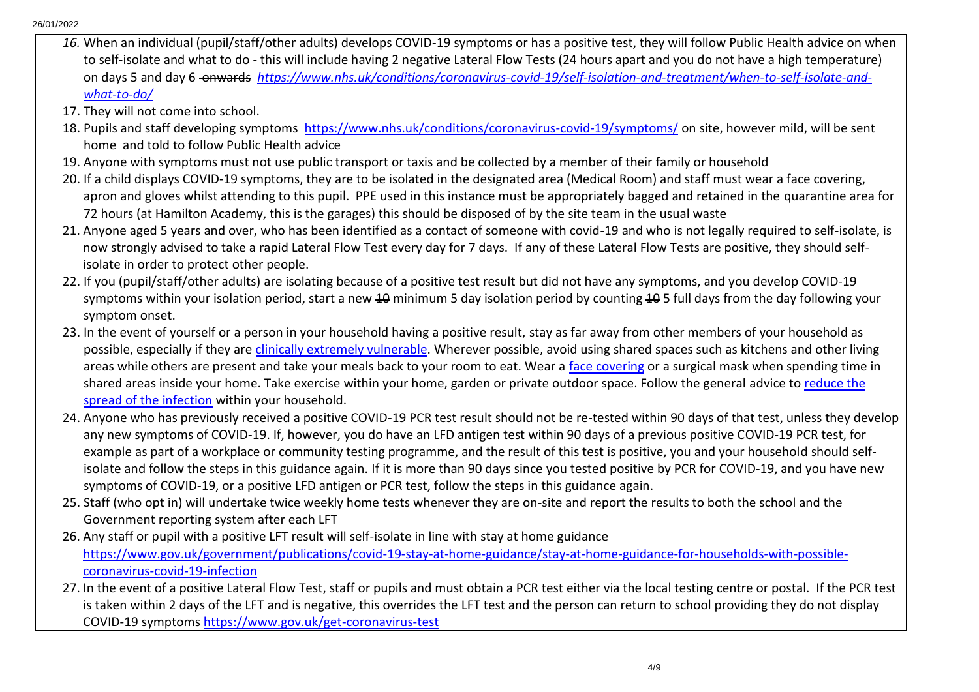- *16.* When an individual (pupil/staff/other adults) develops COVID-19 symptoms or has a positive test, they will follow Public Health advice on when to self-isolate and what to do - this will include having 2 negative Lateral Flow Tests (24 hours apart and you do not have a high temperature) on days 5 and day 6 - on wards *[https://www.nhs.uk/conditions/coronavirus-covid-19/self-isolation-and-treatment/when-to-self-isolate-and](https://www.nhs.uk/conditions/coronavirus-covid-19/self-isolation-and-treatment/when-to-self-isolate-and-what-to-do/)[what-to-do/](https://www.nhs.uk/conditions/coronavirus-covid-19/self-isolation-and-treatment/when-to-self-isolate-and-what-to-do/)*
- 17. They will not come into school.
- 18. Pupils and staff developing symptoms<https://www.nhs.uk/conditions/coronavirus-covid-19/symptoms/> on site, however mild, will be sent home and told to follow Public Health advice
- 19. Anyone with symptoms must not use public transport or taxis and be collected by a member of their family or household
- 20. If a child displays COVID-19 symptoms, they are to be isolated in the designated area (Medical Room) and staff must wear a face covering, apron and gloves whilst attending to this pupil. PPE used in this instance must be appropriately bagged and retained in the quarantine area for 72 hours (at Hamilton Academy, this is the garages) this should be disposed of by the site team in the usual waste
- 21. Anyone aged 5 years and over, who has been identified as a contact of someone with covid-19 and who is not legally required to self-isolate, is now strongly advised to take a rapid Lateral Flow Test every day for 7 days. If any of these Lateral Flow Tests are positive, they should selfisolate in order to protect other people.
- 22. If you (pupil/staff/other adults) are isolating because of a positive test result but did not have any symptoms, and you develop COVID-19 symptoms within your isolation period, start a new 40 minimum 5 day isolation period by counting 40 5 full days from the day following your symptom onset.
- 23. In the event of yourself or a person in your household having a positive result, stay as far away from other members of your household as possible, especially if they are [clinically extremely vulnerable.](https://www.gov.uk/government/publications/guidance-on-shielding-and-protecting-extremely-vulnerable-persons-from-covid-19/19-july-guidance-on-protecting-people-who-are-clinically-extremely-vulnerable-from-covid-19) Wherever possible, avoid using shared spaces such as kitchens and other living areas while others are present and take your meals back to your room to eat. Wear a [face covering](https://www.gov.uk/government/publications/face-coverings-when-to-wear-one-and-how-to-make-your-own/face-coverings-when-to-wear-one-and-how-to-make-your-own) or a surgical mask when spending time in shared areas inside your home. Take exercise within your home, garden or private outdoor space. Follow the general advice to [reduce the](https://www.gov.uk/government/publications/covid-19-stay-at-home-guidance/stay-at-home-guidance-for-households-with-possible-coronavirus-covid-19-infection#Reducing)  [spread of the infection](https://www.gov.uk/government/publications/covid-19-stay-at-home-guidance/stay-at-home-guidance-for-households-with-possible-coronavirus-covid-19-infection#Reducing) within your household.
- 24. Anyone who has previously received a positive COVID-19 PCR test result should not be re-tested within 90 days of that test, unless they develop any new symptoms of COVID-19. If, however, you do have an LFD antigen test within 90 days of a previous positive COVID-19 PCR test, for example as part of a workplace or community testing programme, and the result of this test is positive, you and your household should selfisolate and follow the steps in this guidance again. If it is more than 90 days since you tested positive by PCR for COVID-19, and you have new symptoms of COVID-19, or a positive LFD antigen or PCR test, follow the steps in this guidance again.
- 25. Staff (who opt in) will undertake twice weekly home tests whenever they are on-site and report the results to both the school and the Government reporting system after each LFT
- 26. Any staff or pupil with a positive LFT result will self-isolate in line with stay at home guidance [https://www.gov.uk/government/publications/covid-19-stay-at-home-guidance/stay-at-home-guidance-for-households-with-possible](https://www.gov.uk/government/publications/covid-19-stay-at-home-guidance/stay-at-home-guidance-for-households-with-possible-coronavirus-covid-19-infection)[coronavirus-covid-19-infection](https://www.gov.uk/government/publications/covid-19-stay-at-home-guidance/stay-at-home-guidance-for-households-with-possible-coronavirus-covid-19-infection)
- 27. In the event of a positive Lateral Flow Test, staff or pupils and must obtain a PCR test either via the local testing centre or postal. If the PCR test is taken within 2 days of the LFT and is negative, this overrides the LFT test and the person can return to school providing they do not display COVID-19 symptoms <https://www.gov.uk/get-coronavirus-test>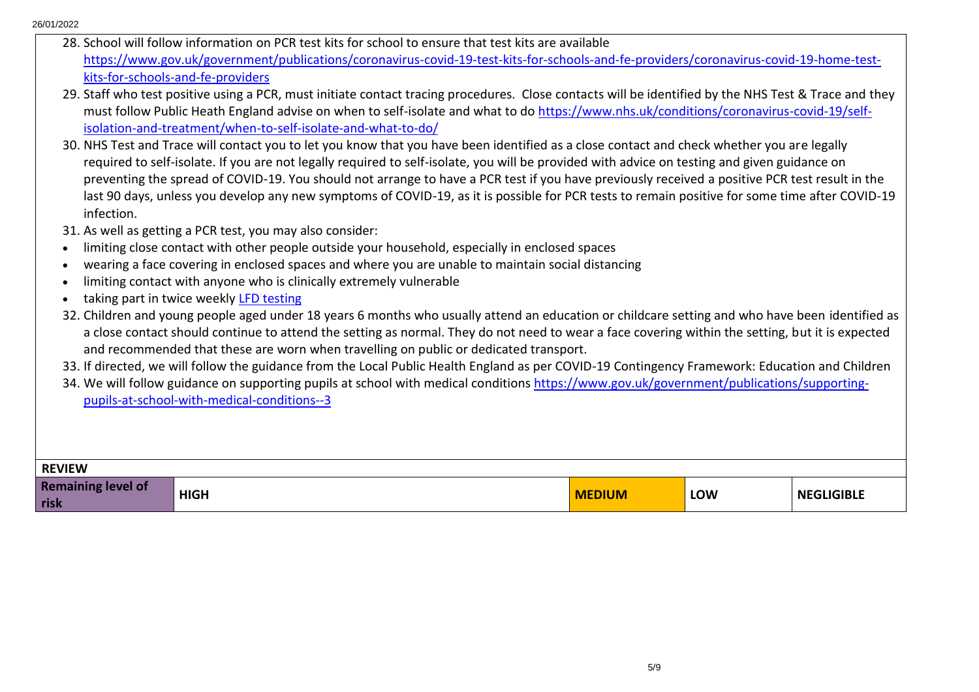|                           | 28. School will follow information on PCR test kits for school to ensure that test kits are available                                                 |               |            |                   |  |  |
|---------------------------|-------------------------------------------------------------------------------------------------------------------------------------------------------|---------------|------------|-------------------|--|--|
|                           | https://www.gov.uk/government/publications/coronavirus-covid-19-test-kits-for-schools-and-fe-providers/coronavirus-covid-19-home-test-                |               |            |                   |  |  |
|                           | kits-for-schools-and-fe-providers                                                                                                                     |               |            |                   |  |  |
|                           | 29. Staff who test positive using a PCR, must initiate contact tracing procedures. Close contacts will be identified by the NHS Test & Trace and they |               |            |                   |  |  |
|                           | must follow Public Heath England advise on when to self-isolate and what to do https://www.nhs.uk/conditions/coronavirus-covid-19/self-               |               |            |                   |  |  |
|                           | isolation-and-treatment/when-to-self-isolate-and-what-to-do/                                                                                          |               |            |                   |  |  |
|                           | 30. NHS Test and Trace will contact you to let you know that you have been identified as a close contact and check whether you are legally            |               |            |                   |  |  |
|                           | required to self-isolate. If you are not legally required to self-isolate, you will be provided with advice on testing and given guidance on          |               |            |                   |  |  |
|                           | preventing the spread of COVID-19. You should not arrange to have a PCR test if you have previously received a positive PCR test result in the        |               |            |                   |  |  |
|                           | last 90 days, unless you develop any new symptoms of COVID-19, as it is possible for PCR tests to remain positive for some time after COVID-19        |               |            |                   |  |  |
| infection.                |                                                                                                                                                       |               |            |                   |  |  |
|                           | 31. As well as getting a PCR test, you may also consider:                                                                                             |               |            |                   |  |  |
|                           | limiting close contact with other people outside your household, especially in enclosed spaces                                                        |               |            |                   |  |  |
|                           |                                                                                                                                                       |               |            |                   |  |  |
|                           | wearing a face covering in enclosed spaces and where you are unable to maintain social distancing                                                     |               |            |                   |  |  |
|                           | limiting contact with anyone who is clinically extremely vulnerable                                                                                   |               |            |                   |  |  |
|                           | taking part in twice weekly LFD testing                                                                                                               |               |            |                   |  |  |
|                           | 32. Children and young people aged under 18 years 6 months who usually attend an education or childcare setting and who have been identified as       |               |            |                   |  |  |
|                           | a close contact should continue to attend the setting as normal. They do not need to wear a face covering within the setting, but it is expected      |               |            |                   |  |  |
|                           | and recommended that these are worn when travelling on public or dedicated transport.                                                                 |               |            |                   |  |  |
|                           | 33. If directed, we will follow the guidance from the Local Public Health England as per COVID-19 Contingency Framework: Education and Children       |               |            |                   |  |  |
|                           | 34. We will follow guidance on supporting pupils at school with medical conditions https://www.gov.uk/government/publications/supporting-             |               |            |                   |  |  |
|                           | pupils-at-school-with-medical-conditions--3                                                                                                           |               |            |                   |  |  |
|                           |                                                                                                                                                       |               |            |                   |  |  |
|                           |                                                                                                                                                       |               |            |                   |  |  |
|                           |                                                                                                                                                       |               |            |                   |  |  |
| <b>REVIEW</b>             |                                                                                                                                                       |               |            |                   |  |  |
| <b>Remaining level of</b> | <b>HIGH</b>                                                                                                                                           | <b>MEDIUM</b> | <b>LOW</b> | <b>NEGLIGIBLE</b> |  |  |
| risk                      |                                                                                                                                                       |               |            |                   |  |  |
|                           |                                                                                                                                                       |               |            |                   |  |  |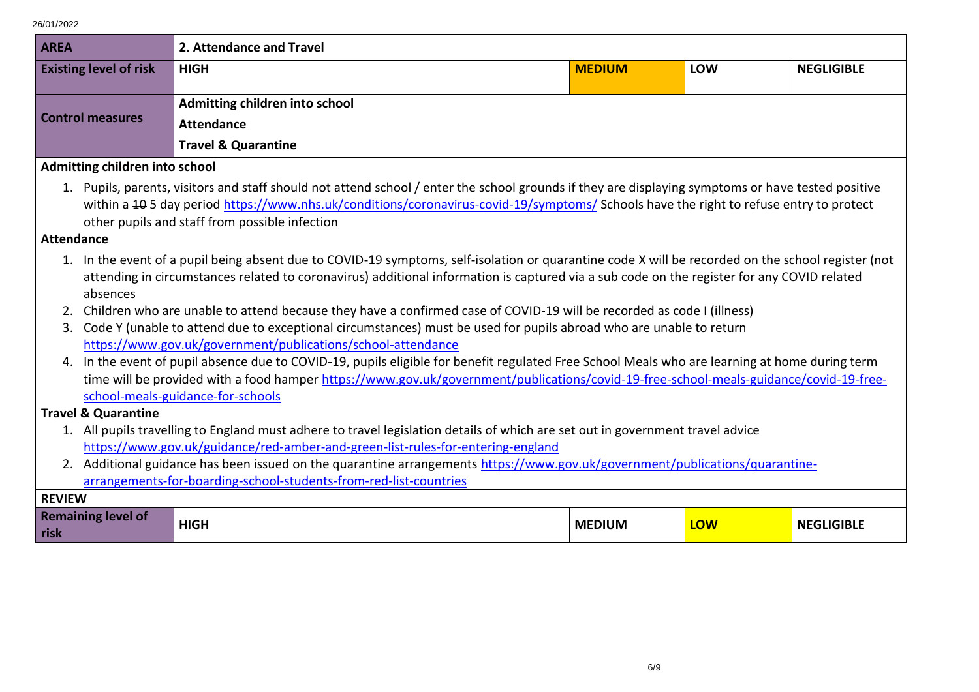| <b>AREA</b>                       |                                                                                                                                | 2. Attendance and Travel                                                                                                                                                                                                                                                                                                                       |               |     |                   |  |
|-----------------------------------|--------------------------------------------------------------------------------------------------------------------------------|------------------------------------------------------------------------------------------------------------------------------------------------------------------------------------------------------------------------------------------------------------------------------------------------------------------------------------------------|---------------|-----|-------------------|--|
| <b>Existing level of risk</b>     |                                                                                                                                | <b>HIGH</b>                                                                                                                                                                                                                                                                                                                                    | <b>MEDIUM</b> | LOW | <b>NEGLIGIBLE</b> |  |
|                                   |                                                                                                                                | Admitting children into school                                                                                                                                                                                                                                                                                                                 |               |     |                   |  |
| <b>Control measures</b>           |                                                                                                                                | <b>Attendance</b>                                                                                                                                                                                                                                                                                                                              |               |     |                   |  |
|                                   |                                                                                                                                | <b>Travel &amp; Quarantine</b>                                                                                                                                                                                                                                                                                                                 |               |     |                   |  |
| Admitting children into school    |                                                                                                                                |                                                                                                                                                                                                                                                                                                                                                |               |     |                   |  |
| <b>Attendance</b>                 |                                                                                                                                | 1. Pupils, parents, visitors and staff should not attend school / enter the school grounds if they are displaying symptoms or have tested positive<br>within a 405 day period https://www.nhs.uk/conditions/coronavirus-covid-19/symptoms/ Schools have the right to refuse entry to protect<br>other pupils and staff from possible infection |               |     |                   |  |
|                                   |                                                                                                                                | 1. In the event of a pupil being absent due to COVID-19 symptoms, self-isolation or quarantine code X will be recorded on the school register (not                                                                                                                                                                                             |               |     |                   |  |
|                                   |                                                                                                                                | attending in circumstances related to coronavirus) additional information is captured via a sub code on the register for any COVID related                                                                                                                                                                                                     |               |     |                   |  |
| absences                          |                                                                                                                                |                                                                                                                                                                                                                                                                                                                                                |               |     |                   |  |
|                                   |                                                                                                                                | 2. Children who are unable to attend because they have a confirmed case of COVID-19 will be recorded as code I (illness)                                                                                                                                                                                                                       |               |     |                   |  |
| 3.                                |                                                                                                                                | Code Y (unable to attend due to exceptional circumstances) must be used for pupils abroad who are unable to return                                                                                                                                                                                                                             |               |     |                   |  |
|                                   | https://www.gov.uk/government/publications/school-attendance                                                                   |                                                                                                                                                                                                                                                                                                                                                |               |     |                   |  |
|                                   |                                                                                                                                | 4. In the event of pupil absence due to COVID-19, pupils eligible for benefit regulated Free School Meals who are learning at home during term                                                                                                                                                                                                 |               |     |                   |  |
|                                   |                                                                                                                                | time will be provided with a food hamper https://www.gov.uk/government/publications/covid-19-free-school-meals-guidance/covid-19-free-                                                                                                                                                                                                         |               |     |                   |  |
|                                   |                                                                                                                                | school-meals-guidance-for-schools                                                                                                                                                                                                                                                                                                              |               |     |                   |  |
| <b>Travel &amp; Quarantine</b>    |                                                                                                                                |                                                                                                                                                                                                                                                                                                                                                |               |     |                   |  |
|                                   | 1. All pupils travelling to England must adhere to travel legislation details of which are set out in government travel advice |                                                                                                                                                                                                                                                                                                                                                |               |     |                   |  |
|                                   |                                                                                                                                | https://www.gov.uk/guidance/red-amber-and-green-list-rules-for-entering-england<br>2. Additional guidance has been issued on the quarantine arrangements https://www.gov.uk/government/publications/quarantine-                                                                                                                                |               |     |                   |  |
|                                   |                                                                                                                                | arrangements-for-boarding-school-students-from-red-list-countries                                                                                                                                                                                                                                                                              |               |     |                   |  |
| <b>REVIEW</b>                     |                                                                                                                                |                                                                                                                                                                                                                                                                                                                                                |               |     |                   |  |
| <b>Remaining level of</b><br>risk |                                                                                                                                | <b>HIGH</b>                                                                                                                                                                                                                                                                                                                                    | <b>MEDIUM</b> | LOW | <b>NEGLIGIBLE</b> |  |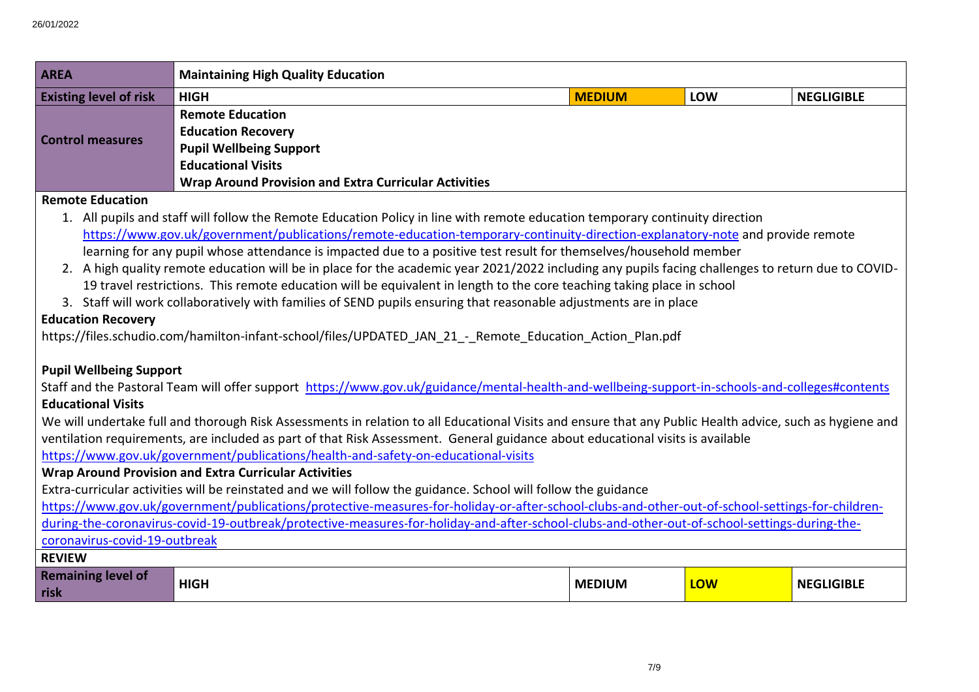| <b>AREA</b>                                                                                                                                     | <b>Maintaining High Quality Education</b>                                                                                                                |               |     |                   |  |  |
|-------------------------------------------------------------------------------------------------------------------------------------------------|----------------------------------------------------------------------------------------------------------------------------------------------------------|---------------|-----|-------------------|--|--|
| <b>Existing level of risk</b>                                                                                                                   | <b>MEDIUM</b><br>LOW<br><b>NEGLIGIBLE</b><br><b>HIGH</b>                                                                                                 |               |     |                   |  |  |
| <b>Remote Education</b>                                                                                                                         |                                                                                                                                                          |               |     |                   |  |  |
| <b>Control measures</b>                                                                                                                         | <b>Education Recovery</b>                                                                                                                                |               |     |                   |  |  |
|                                                                                                                                                 | <b>Pupil Wellbeing Support</b>                                                                                                                           |               |     |                   |  |  |
|                                                                                                                                                 | <b>Educational Visits</b>                                                                                                                                |               |     |                   |  |  |
|                                                                                                                                                 | <b>Wrap Around Provision and Extra Curricular Activities</b>                                                                                             |               |     |                   |  |  |
| <b>Remote Education</b>                                                                                                                         |                                                                                                                                                          |               |     |                   |  |  |
|                                                                                                                                                 | 1. All pupils and staff will follow the Remote Education Policy in line with remote education temporary continuity direction                             |               |     |                   |  |  |
|                                                                                                                                                 | https://www.gov.uk/government/publications/remote-education-temporary-continuity-direction-explanatory-note and provide remote                           |               |     |                   |  |  |
|                                                                                                                                                 | learning for any pupil whose attendance is impacted due to a positive test result for themselves/household member                                        |               |     |                   |  |  |
|                                                                                                                                                 | 2. A high quality remote education will be in place for the academic year 2021/2022 including any pupils facing challenges to return due to COVID-       |               |     |                   |  |  |
|                                                                                                                                                 | 19 travel restrictions. This remote education will be equivalent in length to the core teaching taking place in school                                   |               |     |                   |  |  |
|                                                                                                                                                 | 3. Staff will work collaboratively with families of SEND pupils ensuring that reasonable adjustments are in place                                        |               |     |                   |  |  |
| <b>Education Recovery</b>                                                                                                                       |                                                                                                                                                          |               |     |                   |  |  |
| https://files.schudio.com/hamilton-infant-school/files/UPDATED JAN 21 - Remote Education Action Plan.pdf                                        |                                                                                                                                                          |               |     |                   |  |  |
|                                                                                                                                                 |                                                                                                                                                          |               |     |                   |  |  |
| <b>Pupil Wellbeing Support</b>                                                                                                                  |                                                                                                                                                          |               |     |                   |  |  |
|                                                                                                                                                 | Staff and the Pastoral Team will offer support https://www.gov.uk/guidance/mental-health-and-wellbeing-support-in-schools-and-colleges#contents          |               |     |                   |  |  |
| <b>Educational Visits</b>                                                                                                                       |                                                                                                                                                          |               |     |                   |  |  |
|                                                                                                                                                 | We will undertake full and thorough Risk Assessments in relation to all Educational Visits and ensure that any Public Health advice, such as hygiene and |               |     |                   |  |  |
|                                                                                                                                                 | ventilation requirements, are included as part of that Risk Assessment. General guidance about educational visits is available                           |               |     |                   |  |  |
| https://www.gov.uk/government/publications/health-and-safety-on-educational-visits                                                              |                                                                                                                                                          |               |     |                   |  |  |
|                                                                                                                                                 | <b>Wrap Around Provision and Extra Curricular Activities</b>                                                                                             |               |     |                   |  |  |
| Extra-curricular activities will be reinstated and we will follow the guidance. School will follow the guidance                                 |                                                                                                                                                          |               |     |                   |  |  |
| https://www.gov.uk/government/publications/protective-measures-for-holiday-or-after-school-clubs-and-other-out-of-school-settings-for-children- |                                                                                                                                                          |               |     |                   |  |  |
|                                                                                                                                                 | during-the-coronavirus-covid-19-outbreak/protective-measures-for-holiday-and-after-school-clubs-and-other-out-of-school-settings-during-the-             |               |     |                   |  |  |
|                                                                                                                                                 | coronavirus-covid-19-outbreak                                                                                                                            |               |     |                   |  |  |
| <b>REVIEW</b>                                                                                                                                   |                                                                                                                                                          |               |     |                   |  |  |
| <b>Remaining level of</b><br>risk                                                                                                               | <b>HIGH</b>                                                                                                                                              | <b>MEDIUM</b> | LOW | <b>NEGLIGIBLE</b> |  |  |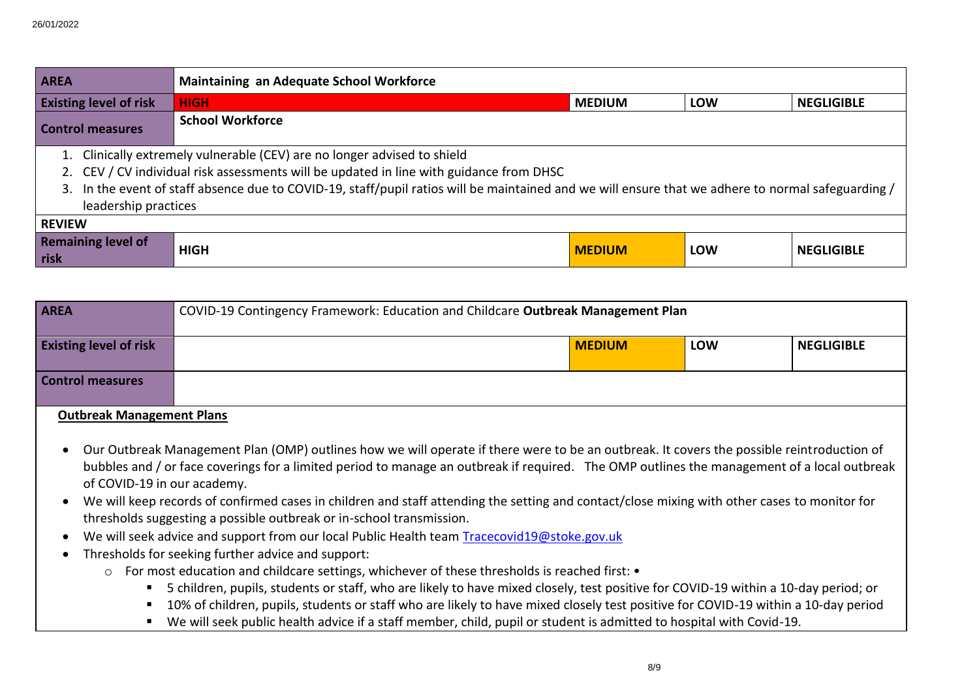| <b>Maintaining an Adequate School Workforce</b><br><b>AREA</b> |                                                                                                                                                    |                                                                                         |               |            |                   |
|----------------------------------------------------------------|----------------------------------------------------------------------------------------------------------------------------------------------------|-----------------------------------------------------------------------------------------|---------------|------------|-------------------|
| <b>Existing level of risk</b>                                  |                                                                                                                                                    | <b>HIGH</b>                                                                             | <b>MEDIUM</b> | <b>LOW</b> | <b>NEGLIGIBLE</b> |
| <b>School Workforce</b><br><b>Control measures</b>             |                                                                                                                                                    |                                                                                         |               |            |                   |
|                                                                | 1. Clinically extremely vulnerable (CEV) are no longer advised to shield                                                                           |                                                                                         |               |            |                   |
|                                                                |                                                                                                                                                    | 2. CEV / CV individual risk assessments will be updated in line with guidance from DHSC |               |            |                   |
|                                                                | 3. In the event of staff absence due to COVID-19, staff/pupil ratios will be maintained and we will ensure that we adhere to normal safeguarding / |                                                                                         |               |            |                   |
|                                                                | leadership practices                                                                                                                               |                                                                                         |               |            |                   |
|                                                                | <b>REVIEW</b>                                                                                                                                      |                                                                                         |               |            |                   |
| risk                                                           | <b>Remaining level of</b>                                                                                                                          | <b>HIGH</b>                                                                             | <b>MEDIUM</b> | LOW        | <b>NEGLIGIBLE</b> |

| <b>AREA</b>                      | COVID-19 Contingency Framework: Education and Childcare Outbreak Management Plan |               |            |                   |
|----------------------------------|----------------------------------------------------------------------------------|---------------|------------|-------------------|
| <b>Existing level of risk</b>    |                                                                                  | <b>MEDIUM</b> | <b>LOW</b> | <b>NEGLIGIBLE</b> |
| <b>Control measures</b>          |                                                                                  |               |            |                   |
| <b>Outbreak Management Plans</b> |                                                                                  |               |            |                   |

- Our Outbreak Management Plan (OMP) outlines how we will operate if there were to be an outbreak. It covers the possible reintroduction of bubbles and / or face coverings for a limited period to manage an outbreak if required. The OMP outlines the management of a local outbreak of COVID-19 in our academy.
- We will keep records of confirmed cases in children and staff attending the setting and contact/close mixing with other cases to monitor for thresholds suggesting a possible outbreak or in-school transmission.
- We will seek advice and support from our local Public Health team [Tracecovid19@stoke.gov.uk](mailto:Tracecovid19@stoke.gov.uk)
- Thresholds for seeking further advice and support:
	- o For most education and childcare settings, whichever of these thresholds is reached first:
		- 5 children, pupils, students or staff, who are likely to have mixed closely, test positive for COVID-19 within a 10-day period; or
		- 10% of children, pupils, students or staff who are likely to have mixed closely test positive for COVID-19 within a 10-day period
		- We will seek public health advice if a staff member, child, pupil or student is admitted to hospital with Covid-19.